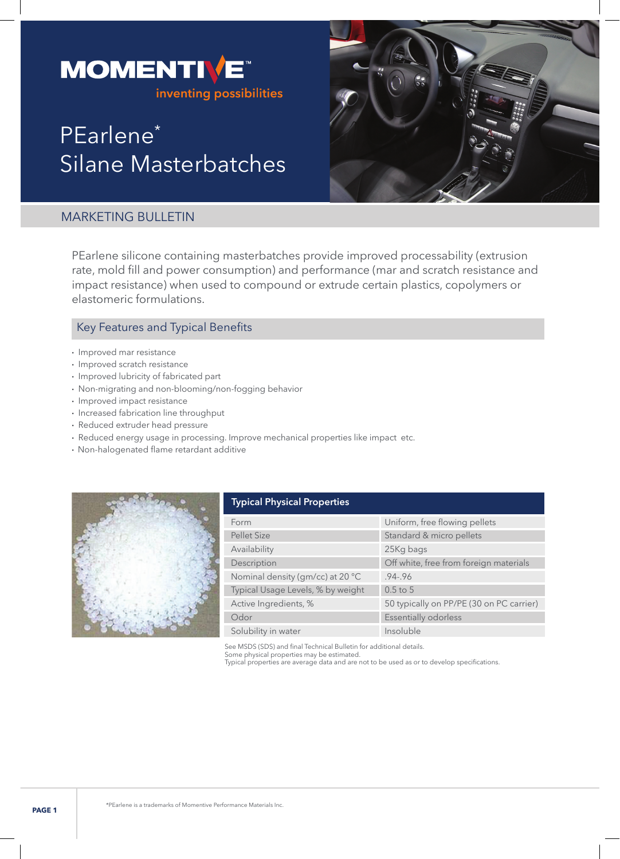

# PEarlene\* Silane Masterbatches



# MARKETING BULLETIN

PEarlene silicone containing masterbatches provide improved processability (extrusion rate, mold fill and power consumption) and performance (mar and scratch resistance and impact resistance) when used to compound or extrude certain plastics, copolymers or elastomeric formulations.

# Key Features and Typical Benefits

- Improved mar resistance
- Improved scratch resistance
- Improved lubricity of fabricated part
- Non-migrating and non-blooming/non-fogging behavior
- Improved impact resistance
- Increased fabrication line throughput
- Reduced extruder head pressure
- Reduced energy usage in processing. Improve mechanical properties like impact etc.
- Non-halogenated flame retardant additive



| <b>Typical Physical Properties</b> |                                          |
|------------------------------------|------------------------------------------|
| Form                               | Uniform, free flowing pellets            |
| <b>Pellet Size</b>                 | Standard & micro pellets                 |
| Availability                       | 25Kg bags                                |
| Description                        | Off white, free from foreign materials   |
| Nominal density (gm/cc) at 20 °C   | $.94 - .96$                              |
| Typical Usage Levels, % by weight  | $0.5$ to 5                               |
| Active Ingredients, %              | 50 typically on PP/PE (30 on PC carrier) |
| Odor                               | <b>Essentially odorless</b>              |
| Solubility in water                | Insoluble                                |

See MSDS (SDS) and final Technical Bulletin for additional details.

Some physical properties may be estimated. Typical properties are average data and are not to be used as or to develop specifications.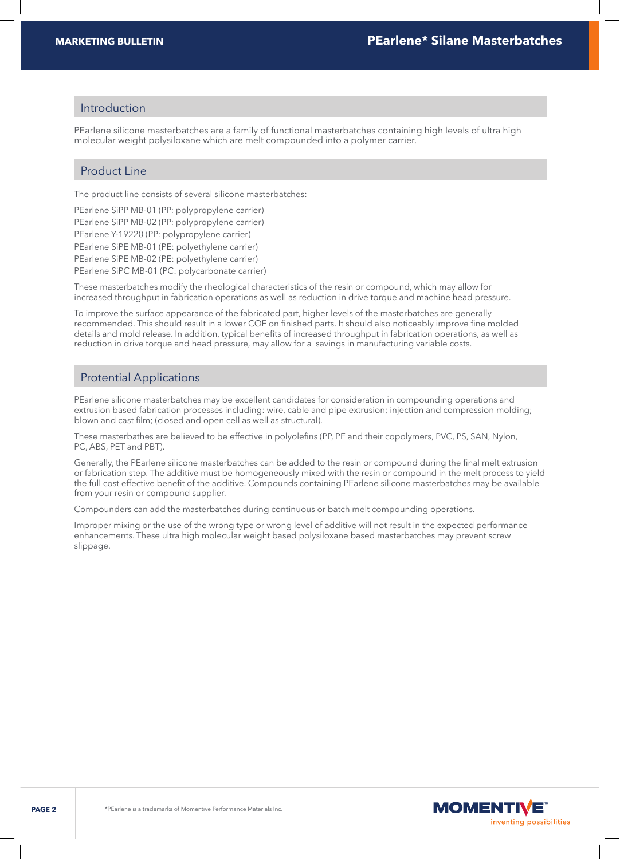#### Introduction

PEarlene silicone masterbatches are a family of functional masterbatches containing high levels of ultra high molecular weight polysiloxane which are melt compounded into a polymer carrier.

## Product Line

The product line consists of several silicone masterbatches:

PEarlene SiPP MB-01 (PP: polypropylene carrier) PEarlene SiPP MB-02 (PP: polypropylene carrier) PEarlene Y-19220 (PP: polypropylene carrier) PEarlene SiPE MB-01 (PE: polyethylene carrier) PEarlene SiPE MB-02 (PE: polyethylene carrier) PEarlene SiPC MB-01 (PC: polycarbonate carrier)

These masterbatches modify the rheological characteristics of the resin or compound, which may allow for increased throughput in fabrication operations as well as reduction in drive torque and machine head pressure.

To improve the surface appearance of the fabricated part, higher levels of the masterbatches are generally recommended. This should result in a lower COF on finished parts. It should also noticeably improve fine molded details and mold release. In addition, typical benefits of increased throughput in fabrication operations, as well as reduction in drive torque and head pressure, may allow for a savings in manufacturing variable costs.

#### Protential Applications

PEarlene silicone masterbatches may be excellent candidates for consideration in compounding operations and extrusion based fabrication processes including: wire, cable and pipe extrusion; injection and compression molding; blown and cast film; (closed and open cell as well as structural).

These masterbathes are believed to be effective in polyolefins (PP, PE and their copolymers, PVC, PS, SAN, Nylon, PC, ABS, PET and PBT).

Generally, the PEarlene silicone masterbatches can be added to the resin or compound during the final melt extrusion or fabrication step. The additive must be homogeneously mixed with the resin or compound in the melt process to yield the full cost effective benefit of the additive. Compounds containing PEarlene silicone masterbatches may be available from your resin or compound supplier.

Compounders can add the masterbatches during continuous or batch melt compounding operations.

Improper mixing or the use of the wrong type or wrong level of additive will not result in the expected performance enhancements. These ultra high molecular weight based polysiloxane based masterbatches may prevent screw slippage.

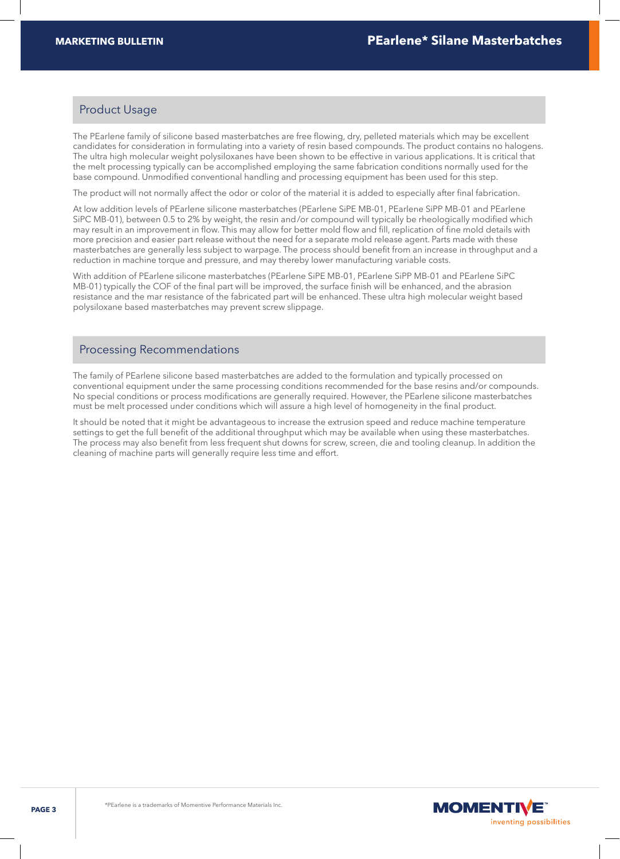## Product Usage

The PEarlene family of silicone based masterbatches are free flowing, dry, pelleted materials which may be excellent candidates for consideration in formulating into a variety of resin based compounds. The product contains no halogens. The ultra high molecular weight polysiloxanes have been shown to be effective in various applications. It is critical that the melt processing typically can be accomplished employing the same fabrication conditions normally used for the base compound. Unmodified conventional handling and processing equipment has been used for this step.

The product will not normally affect the odor or color of the material it is added to especially after final fabrication.

At low addition levels of PEarlene silicone masterbatches (PEarlene SiPE MB-01, PEarlene SiPP MB-01 and PEarlene SiPC MB-01), between 0.5 to 2% by weight, the resin and/or compound will typically be rheologically modified which may result in an improvement in flow. This may allow for better mold flow and fill, replication of fine mold details with more precision and easier part release without the need for a separate mold release agent. Parts made with these masterbatches are generally less subject to warpage. The process should benefit from an increase in throughput and a reduction in machine torque and pressure, and may thereby lower manufacturing variable costs.

With addition of PEarlene silicone masterbatches (PEarlene SiPE MB-01, PEarlene SiPP MB-01 and PEarlene SiPC MB-01) typically the COF of the final part will be improved, the surface finish will be enhanced, and the abrasion resistance and the mar resistance of the fabricated part will be enhanced. These ultra high molecular weight based polysiloxane based masterbatches may prevent screw slippage.

#### Processing Recommendations

The family of PEarlene silicone based masterbatches are added to the formulation and typically processed on conventional equipment under the same processing conditions recommended for the base resins and/or compounds. No special conditions or process modifications are generally required. However, the PEarlene silicone masterbatches must be melt processed under conditions which will assure a high level of homogeneity in the final product.

It should be noted that it might be advantageous to increase the extrusion speed and reduce machine temperature settings to get the full benefit of the additional throughput which may be available when using these masterbatches. The process may also benefit from less frequent shut downs for screw, screen, die and tooling cleanup. In addition the cleaning of machine parts will generally require less time and effort.